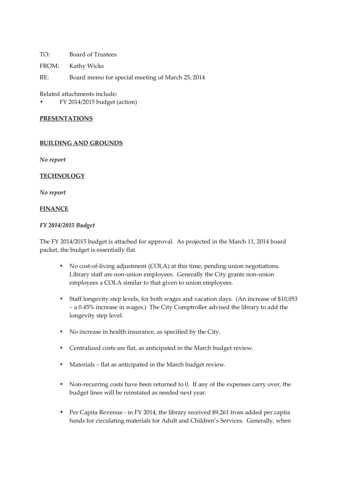TO: Board of Trustees

FROM: Kathy Wicks

RE: Board memo for special meeting of March 25, 2014

Related attachments include:

• FY 2014/2015 budget (action)

### **PRESENTATIONS**

### **BUILDING AND GROUNDS**

*No report* 

## **TECHNOLOGY**

*No report* 

### **FINANCE**

### *FY 2014/2015 Budget*

The FY 2014/2015 budget is attached for approval. As projected in the March 11, 2014 board packet, the budget is essentially flat.

- No cost-of-living adjustment (COLA) at this time, pending union negotiations. Library staff are non-union employees. Generally the City grants non-union employees a COLA similar to that given to union employees.
- Staff longevity step levels, for both wages and vacation days. (An increase of \$10,053 – a 0.45% increase in wages.) The City Comptroller advised the library to add the longevity step level.
- No increase in health insurance, as specified by the City.
- Centralized costs are flat, as anticipated in the March budget review.
- Materials flat as anticipated in the March budget review.
- Non-recurring costs have been returned to 0. If any of the expenses carry over, the budget lines will be reinstated as needed next year.
- Per Capita Revenue in FY 2014, the library received \$9,261 from added per capita funds for circulating materials for Adult and Children's Services. Generally, when